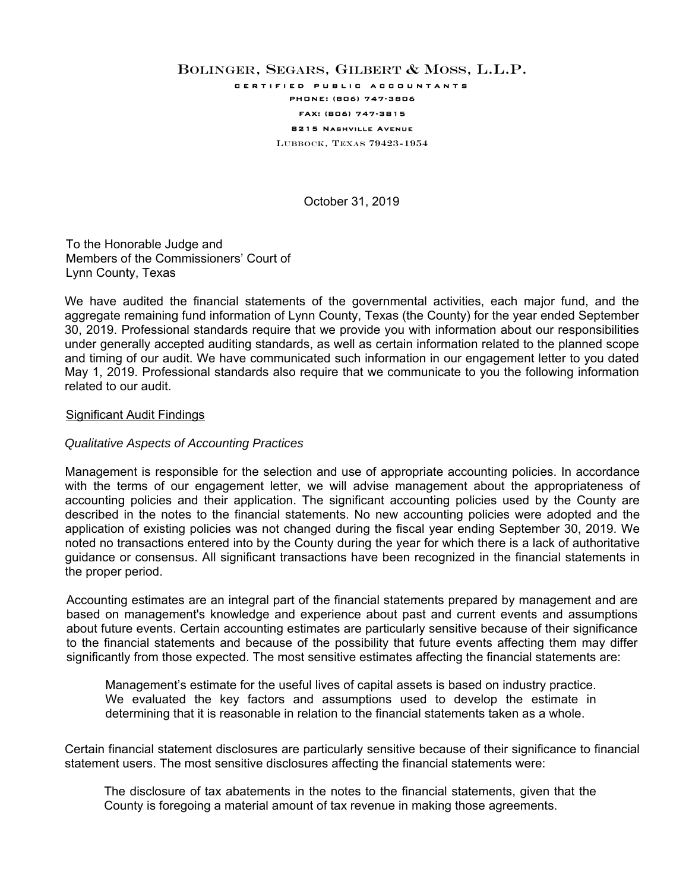# BOLINGER, SEGARS, GILBERT & MOSS, L.L.P.

certified public accountants

# PHONE: (806) 747-3806

#### FAX: (806) 747-3815 8215 Nashville Avenue

LUBBOCK, TEXAS 79423-1954

October 31, 2019

To the Honorable Judge and Members of the Commissioners' Court of Lynn County, Texas

We have audited the financial statements of the governmental activities, each major fund, and the aggregate remaining fund information of Lynn County, Texas (the County) for the year ended September 30, 2019. Professional standards require that we provide you with information about our responsibilities under generally accepted auditing standards, as well as certain information related to the planned scope and timing of our audit. We have communicated such information in our engagement letter to you dated May 1, 2019. Professional standards also require that we communicate to you the following information related to our audit.

#### Significant Audit Findings

#### *Qualitative Aspects of Accounting Practices*

Management is responsible for the selection and use of appropriate accounting policies. In accordance with the terms of our engagement letter, we will advise management about the appropriateness of accounting policies and their application. The significant accounting policies used by the County are described in the notes to the financial statements. No new accounting policies were adopted and the application of existing policies was not changed during the fiscal year ending September 30, 2019. We noted no transactions entered into by the County during the year for which there is a lack of authoritative guidance or consensus. All significant transactions have been recognized in the financial statements in the proper period.

Accounting estimates are an integral part of the financial statements prepared by management and are based on management's knowledge and experience about past and current events and assumptions about future events. Certain accounting estimates are particularly sensitive because of their significance to the financial statements and because of the possibility that future events affecting them may differ significantly from those expected. The most sensitive estimates affecting the financial statements are:

Management's estimate for the useful lives of capital assets is based on industry practice. We evaluated the key factors and assumptions used to develop the estimate in determining that it is reasonable in relation to the financial statements taken as a whole.

Certain financial statement disclosures are particularly sensitive because of their significance to financial statement users. The most sensitive disclosures affecting the financial statements were:

The disclosure of tax abatements in the notes to the financial statements, given that the County is foregoing a material amount of tax revenue in making those agreements.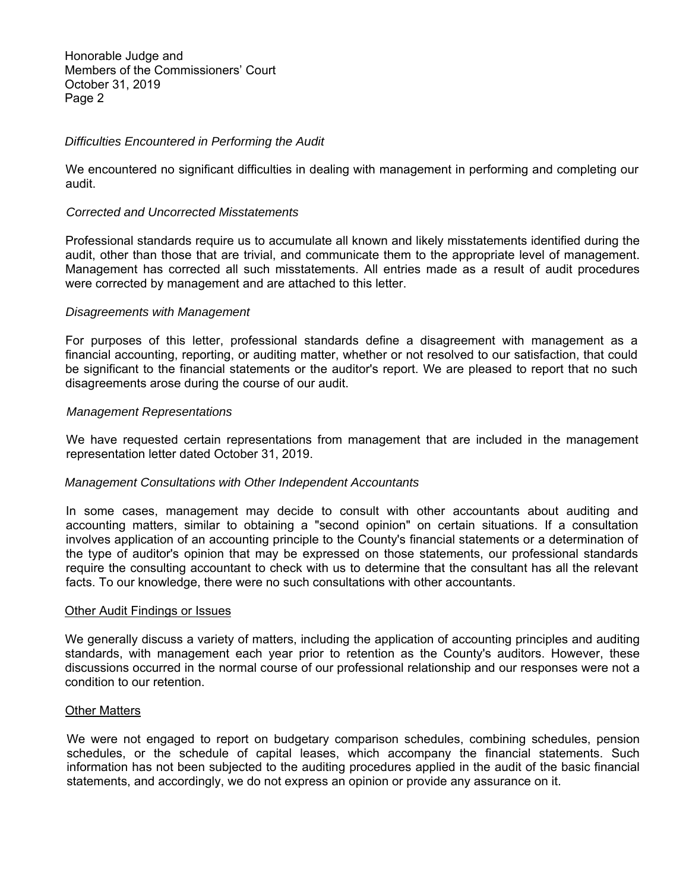Honorable Judge and Members of the Commissioners' Court October 31, 2019 Page 2

## *Difficulties Encountered in Performing the Audit*

We encountered no significant difficulties in dealing with management in performing and completing our audit.

## *Corrected and Uncorrected Misstatements*

Professional standards require us to accumulate all known and likely misstatements identified during the audit, other than those that are trivial, and communicate them to the appropriate level of management. Management has corrected all such misstatements. All entries made as a result of audit procedures were corrected by management and are attached to this letter.

## *Disagreements with Management*

For purposes of this letter, professional standards define a disagreement with management as a financial accounting, reporting, or auditing matter, whether or not resolved to our satisfaction, that could be significant to the financial statements or the auditor's report. We are pleased to report that no such disagreements arose during the course of our audit.

#### *Management Representations*

We have requested certain representations from management that are included in the management representation letter dated October 31, 2019.

#### *Management Consultations with Other Independent Accountants*

In some cases, management may decide to consult with other accountants about auditing and accounting matters, similar to obtaining a "second opinion" on certain situations. If a consultation involves application of an accounting principle to the County's financial statements or a determination of the type of auditor's opinion that may be expressed on those statements, our professional standards require the consulting accountant to check with us to determine that the consultant has all the relevant facts. To our knowledge, there were no such consultations with other accountants.

#### Other Audit Findings or Issues

We generally discuss a variety of matters, including the application of accounting principles and auditing standards, with management each year prior to retention as the County's auditors. However, these discussions occurred in the normal course of our professional relationship and our responses were not a condition to our retention.

#### Other Matters

We were not engaged to report on budgetary comparison schedules, combining schedules, pension schedules, or the schedule of capital leases, which accompany the financial statements. Such information has not been subjected to the auditing procedures applied in the audit of the basic financial statements, and accordingly, we do not express an opinion or provide any assurance on it.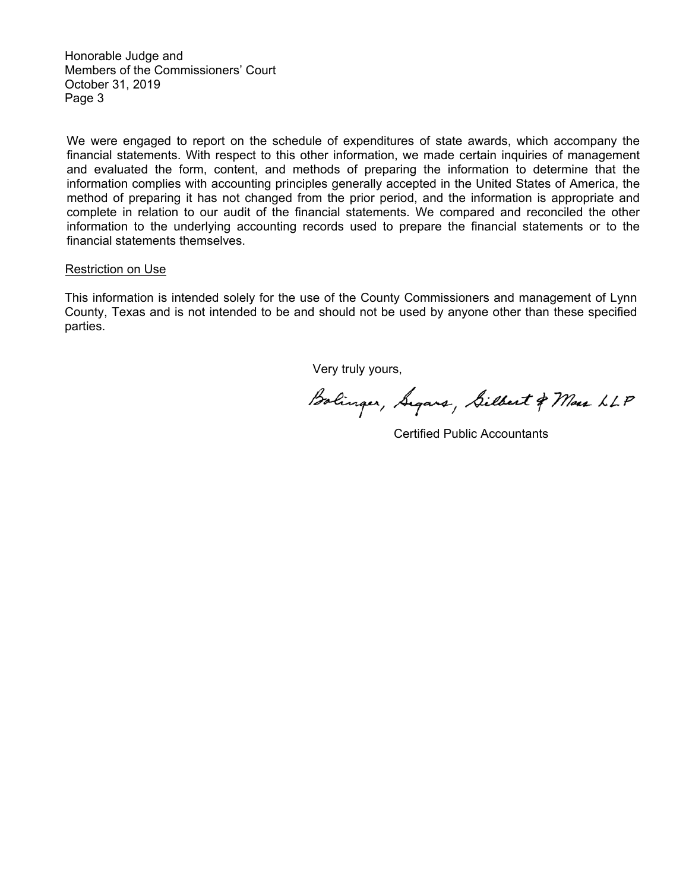Honorable Judge and Members of the Commissioners' Court October 31, 2019 Page 3

We were engaged to report on the schedule of expenditures of state awards, which accompany the financial statements. With respect to this other information, we made certain inquiries of management and evaluated the form, content, and methods of preparing the information to determine that the information complies with accounting principles generally accepted in the United States of America, the method of preparing it has not changed from the prior period, and the information is appropriate and complete in relation to our audit of the financial statements. We compared and reconciled the other information to the underlying accounting records used to prepare the financial statements or to the financial statements themselves.

#### Restriction on Use

This information is intended solely for the use of the County Commissioners and management of Lynn County, Texas and is not intended to be and should not be used by anyone other than these specified parties.

Very truly yours,

Bolinger, Segars, Silbert & Mas LLP

Certified Public Accountants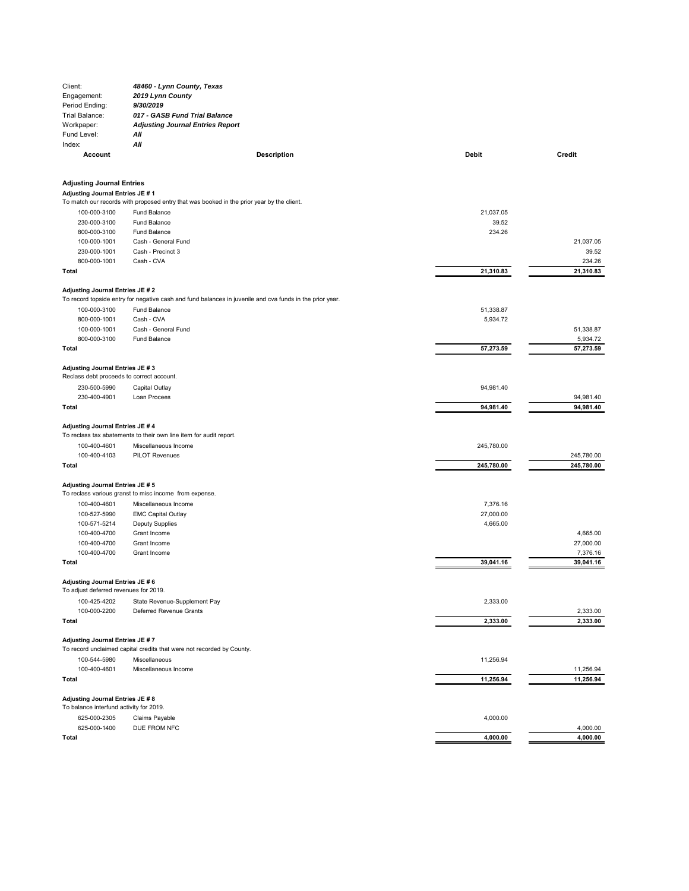| Client:                                                                     | 48460 - Lynn County, Texas                                                                               |            |                        |  |  |  |
|-----------------------------------------------------------------------------|----------------------------------------------------------------------------------------------------------|------------|------------------------|--|--|--|
| Engagement:                                                                 | 2019 Lynn County                                                                                         |            |                        |  |  |  |
| Period Ending:                                                              | 9/30/2019                                                                                                |            |                        |  |  |  |
| Trial Balance:                                                              | 017 - GASB Fund Trial Balance                                                                            |            |                        |  |  |  |
| Workpaper:                                                                  | <b>Adjusting Journal Entries Report</b>                                                                  |            |                        |  |  |  |
| Fund Level:                                                                 | Αll                                                                                                      |            |                        |  |  |  |
| Index:                                                                      | Αll                                                                                                      |            |                        |  |  |  |
| Account                                                                     | <b>Description</b>                                                                                       | Debit      | Credit                 |  |  |  |
| <b>Adjusting Journal Entries</b>                                            |                                                                                                          |            |                        |  |  |  |
| Adjusting Journal Entries JE # 1                                            |                                                                                                          |            |                        |  |  |  |
|                                                                             | To match our records with proposed entry that was booked in the prior year by the client.                |            |                        |  |  |  |
| 100-000-3100                                                                | Fund Balance                                                                                             | 21,037.05  |                        |  |  |  |
| 230-000-3100                                                                | <b>Fund Balance</b>                                                                                      | 39.52      |                        |  |  |  |
| 800-000-3100                                                                | <b>Fund Balance</b>                                                                                      | 234.26     |                        |  |  |  |
| 100-000-1001                                                                | Cash - General Fund                                                                                      |            | 21,037.05              |  |  |  |
| 230-000-1001                                                                | Cash - Precinct 3                                                                                        |            | 39.52                  |  |  |  |
| 800-000-1001<br>Total                                                       | Cash - CVA                                                                                               | 21,310.83  | 234.26<br>21,310.83    |  |  |  |
| Adjusting Journal Entries JE # 2                                            |                                                                                                          |            |                        |  |  |  |
|                                                                             | To record topside entry for negative cash and fund balances in juvenile and cva funds in the prior year. |            |                        |  |  |  |
| 100-000-3100                                                                | Fund Balance                                                                                             | 51,338.87  |                        |  |  |  |
| 800-000-1001                                                                | Cash - CVA                                                                                               | 5,934.72   |                        |  |  |  |
| 100-000-1001                                                                | Cash - General Fund                                                                                      |            | 51,338.87              |  |  |  |
| 800-000-3100                                                                | Fund Balance                                                                                             |            | 5,934.72               |  |  |  |
| Total                                                                       |                                                                                                          | 57,273.59  | 57,273.59              |  |  |  |
| Adjusting Journal Entries JE # 3                                            |                                                                                                          |            |                        |  |  |  |
| Reclass debt proceeds to correct account.                                   |                                                                                                          |            |                        |  |  |  |
| 230-500-5990                                                                | Capital Outlay                                                                                           | 94,981.40  |                        |  |  |  |
| 230-400-4901<br>Total                                                       | Loan Procees                                                                                             | 94,981.40  | 94,981.40<br>94,981.40 |  |  |  |
| Adjusting Journal Entries JE # 4                                            |                                                                                                          |            |                        |  |  |  |
|                                                                             | To reclass tax abatements to their own line item for audit report.                                       |            |                        |  |  |  |
| 100-400-4601                                                                | Miscellaneous Income                                                                                     | 245,780.00 |                        |  |  |  |
| 100-400-4103                                                                | <b>PILOT Revenues</b>                                                                                    |            | 245,780.00             |  |  |  |
| Total                                                                       |                                                                                                          | 245,780.00 | 245,780.00             |  |  |  |
|                                                                             |                                                                                                          |            |                        |  |  |  |
| Adjusting Journal Entries JE # 5                                            | To reclass various granst to misc income from expense.                                                   |            |                        |  |  |  |
| 100-400-4601                                                                | Miscellaneous Income                                                                                     | 7,376.16   |                        |  |  |  |
| 100-527-5990                                                                | <b>EMC Capital Outlay</b>                                                                                | 27,000.00  |                        |  |  |  |
| 100-571-5214                                                                | <b>Deputy Supplies</b>                                                                                   | 4,665.00   |                        |  |  |  |
| 100-400-4700                                                                | Grant Income                                                                                             |            | 4,665.00               |  |  |  |
| 100-400-4700                                                                | Grant Income                                                                                             |            | 27,000.00              |  |  |  |
| 100-400-4700                                                                | Grant Income                                                                                             |            | 7,376.16               |  |  |  |
| Total                                                                       |                                                                                                          | 39,041.16  | 39,041.16              |  |  |  |
| Adjusting Journal Entries JE # 6                                            |                                                                                                          |            |                        |  |  |  |
| To adjust deferred revenues for 2019.                                       |                                                                                                          |            |                        |  |  |  |
| 100-425-4202                                                                | State Revenue-Supplement Pay                                                                             | 2,333.00   |                        |  |  |  |
| 100-000-2200                                                                | Deferred Revenue Grants                                                                                  |            | 2,333.00               |  |  |  |
| Total                                                                       |                                                                                                          | 2,333.00   | 2,333.00               |  |  |  |
| Adjusting Journal Entries JE # 7                                            |                                                                                                          |            |                        |  |  |  |
|                                                                             | To record unclaimed capital credits that were not recorded by County.                                    |            |                        |  |  |  |
| 100-544-5980                                                                | Miscellaneous                                                                                            | 11,256.94  |                        |  |  |  |
| 100-400-4601                                                                | Miscellaneous Income                                                                                     |            | 11,256.94              |  |  |  |
| Total                                                                       |                                                                                                          | 11,256.94  | 11,256.94              |  |  |  |
| Adjusting Journal Entries JE # 8<br>To balance interfund activity for 2019. |                                                                                                          |            |                        |  |  |  |
| 625-000-2305                                                                | Claims Payable                                                                                           | 4,000.00   |                        |  |  |  |
| 625-000-1400                                                                | DUE FROM NFC                                                                                             |            | 4,000.00               |  |  |  |
| Total                                                                       |                                                                                                          | 4,000.00   | 4,000.00               |  |  |  |